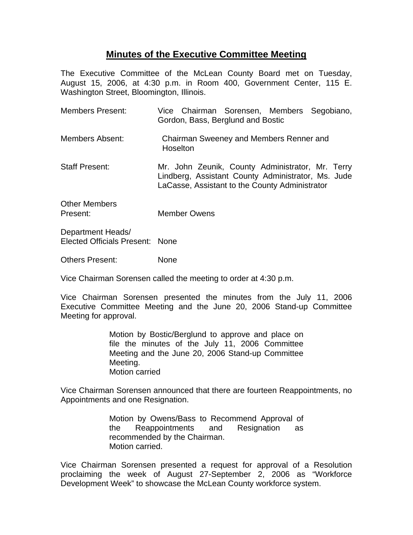## **Minutes of the Executive Committee Meeting**

The Executive Committee of the McLean County Board met on Tuesday, August 15, 2006, at 4:30 p.m. in Room 400, Government Center, 115 E. Washington Street, Bloomington, Illinois.

| <b>Members Present:</b>   | Vice Chairman Sorensen, Members Segobiano,<br>Gordon, Bass, Berglund and Bostic                                                                          |
|---------------------------|----------------------------------------------------------------------------------------------------------------------------------------------------------|
| Members Absent:           | Chairman Sweeney and Members Renner and<br>Hoselton                                                                                                      |
| <b>Staff Present:</b>     | Mr. John Zeunik, County Administrator, Mr. Terry<br>Lindberg, Assistant County Administrator, Ms. Jude<br>LaCasse, Assistant to the County Administrator |
| Other Members<br>Present: | <b>Member Owens</b>                                                                                                                                      |
| Department Heads/         |                                                                                                                                                          |

Elected Officials Present: None

Others Present: None

Vice Chairman Sorensen called the meeting to order at 4:30 p.m.

Vice Chairman Sorensen presented the minutes from the July 11, 2006 Executive Committee Meeting and the June 20, 2006 Stand-up Committee Meeting for approval.

> Motion by Bostic/Berglund to approve and place on file the minutes of the July 11, 2006 Committee Meeting and the June 20, 2006 Stand-up Committee Meeting. Motion carried

Vice Chairman Sorensen announced that there are fourteen Reappointments, no Appointments and one Resignation.

> Motion by Owens/Bass to Recommend Approval of the Reappointments and Resignation as recommended by the Chairman. Motion carried.

Vice Chairman Sorensen presented a request for approval of a Resolution proclaiming the week of August 27-September 2, 2006 as "Workforce Development Week" to showcase the McLean County workforce system.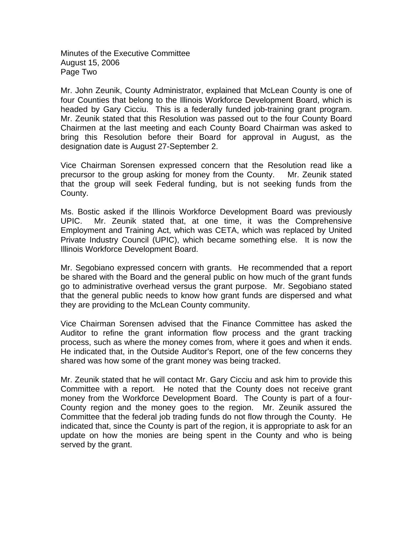Minutes of the Executive Committee August 15, 2006 Page Two

Mr. John Zeunik, County Administrator, explained that McLean County is one of four Counties that belong to the Illinois Workforce Development Board, which is headed by Gary Cicciu. This is a federally funded job-training grant program. Mr. Zeunik stated that this Resolution was passed out to the four County Board Chairmen at the last meeting and each County Board Chairman was asked to bring this Resolution before their Board for approval in August, as the designation date is August 27-September 2.

Vice Chairman Sorensen expressed concern that the Resolution read like a precursor to the group asking for money from the County. Mr. Zeunik stated that the group will seek Federal funding, but is not seeking funds from the County.

Ms. Bostic asked if the Illinois Workforce Development Board was previously UPIC. Mr. Zeunik stated that, at one time, it was the Comprehensive Employment and Training Act, which was CETA, which was replaced by United Private Industry Council (UPIC), which became something else. It is now the Illinois Workforce Development Board.

Mr. Segobiano expressed concern with grants. He recommended that a report be shared with the Board and the general public on how much of the grant funds go to administrative overhead versus the grant purpose. Mr. Segobiano stated that the general public needs to know how grant funds are dispersed and what they are providing to the McLean County community.

Vice Chairman Sorensen advised that the Finance Committee has asked the Auditor to refine the grant information flow process and the grant tracking process, such as where the money comes from, where it goes and when it ends. He indicated that, in the Outside Auditor's Report, one of the few concerns they shared was how some of the grant money was being tracked.

Mr. Zeunik stated that he will contact Mr. Gary Cicciu and ask him to provide this Committee with a report. He noted that the County does not receive grant money from the Workforce Development Board. The County is part of a four-County region and the money goes to the region. Mr. Zeunik assured the Committee that the federal job trading funds do not flow through the County. He indicated that, since the County is part of the region, it is appropriate to ask for an update on how the monies are being spent in the County and who is being served by the grant.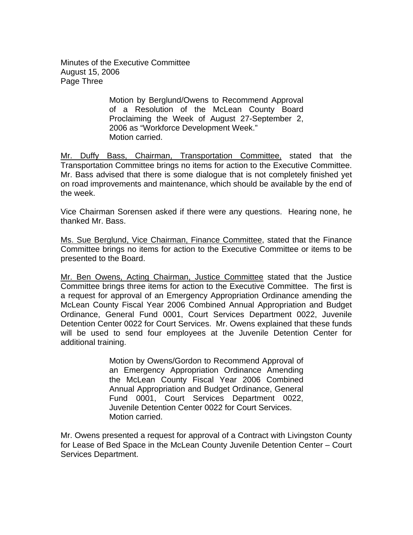Minutes of the Executive Committee August 15, 2006 Page Three

> Motion by Berglund/Owens to Recommend Approval of a Resolution of the McLean County Board Proclaiming the Week of August 27-September 2, 2006 as "Workforce Development Week." Motion carried.

Mr. Duffy Bass, Chairman, Transportation Committee, stated that the Transportation Committee brings no items for action to the Executive Committee. Mr. Bass advised that there is some dialogue that is not completely finished yet on road improvements and maintenance, which should be available by the end of the week.

Vice Chairman Sorensen asked if there were any questions. Hearing none, he thanked Mr. Bass.

Ms. Sue Berglund, Vice Chairman, Finance Committee, stated that the Finance Committee brings no items for action to the Executive Committee or items to be presented to the Board.

Mr. Ben Owens, Acting Chairman, Justice Committee stated that the Justice Committee brings three items for action to the Executive Committee.The first is a request for approval of an Emergency Appropriation Ordinance amending the McLean County Fiscal Year 2006 Combined Annual Appropriation and Budget Ordinance, General Fund 0001, Court Services Department 0022, Juvenile Detention Center 0022 for Court Services. Mr. Owens explained that these funds will be used to send four employees at the Juvenile Detention Center for additional training.

> Motion by Owens/Gordon to Recommend Approval of an Emergency Appropriation Ordinance Amending the McLean County Fiscal Year 2006 Combined Annual Appropriation and Budget Ordinance, General Fund 0001, Court Services Department 0022, Juvenile Detention Center 0022 for Court Services. Motion carried.

Mr. Owens presented a request for approval of a Contract with Livingston County for Lease of Bed Space in the McLean County Juvenile Detention Center – Court Services Department.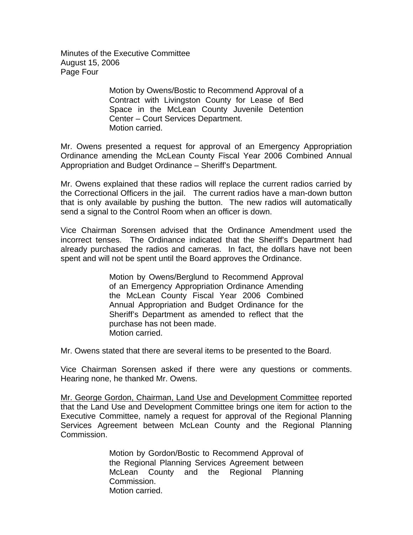Minutes of the Executive Committee August 15, 2006 Page Four

> Motion by Owens/Bostic to Recommend Approval of a Contract with Livingston County for Lease of Bed Space in the McLean County Juvenile Detention Center – Court Services Department. Motion carried.

Mr. Owens presented a request for approval of an Emergency Appropriation Ordinance amending the McLean County Fiscal Year 2006 Combined Annual Appropriation and Budget Ordinance – Sheriff's Department.

Mr. Owens explained that these radios will replace the current radios carried by the Correctional Officers in the jail. The current radios have a man-down button that is only available by pushing the button. The new radios will automatically send a signal to the Control Room when an officer is down.

Vice Chairman Sorensen advised that the Ordinance Amendment used the incorrect tenses. The Ordinance indicated that the Sheriff's Department had already purchased the radios and cameras. In fact, the dollars have not been spent and will not be spent until the Board approves the Ordinance.

> Motion by Owens/Berglund to Recommend Approval of an Emergency Appropriation Ordinance Amending the McLean County Fiscal Year 2006 Combined Annual Appropriation and Budget Ordinance for the Sheriff's Department as amended to reflect that the purchase has not been made. Motion carried.

Mr. Owens stated that there are several items to be presented to the Board.

Vice Chairman Sorensen asked if there were any questions or comments. Hearing none, he thanked Mr. Owens.

Mr. George Gordon, Chairman, Land Use and Development Committee reported that the Land Use and Development Committee brings one item for action to the Executive Committee, namely a request for approval of the Regional Planning Services Agreement between McLean County and the Regional Planning Commission.

> Motion by Gordon/Bostic to Recommend Approval of the Regional Planning Services Agreement between McLean County and the Regional Planning Commission. Motion carried.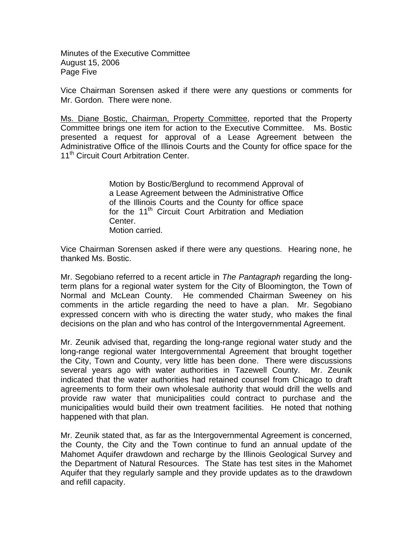Minutes of the Executive Committee August 15, 2006 Page Five

Vice Chairman Sorensen asked if there were any questions or comments for Mr. Gordon. There were none.

Ms. Diane Bostic, Chairman, Property Committee, reported that the Property Committee brings one item for action to the Executive Committee. Ms. Bostic presented a request for approval of a Lease Agreement between the Administrative Office of the Illinois Courts and the County for office space for the 11<sup>th</sup> Circuit Court Arbitration Center.

> Motion by Bostic/Berglund to recommend Approval of a Lease Agreement between the Administrative Office of the Illinois Courts and the County for office space for the 11<sup>th</sup> Circuit Court Arbitration and Mediation Center. Motion carried.

Vice Chairman Sorensen asked if there were any questions. Hearing none, he thanked Ms. Bostic.

Mr. Segobiano referred to a recent article in *The Pantagraph* regarding the longterm plans for a regional water system for the City of Bloomington, the Town of Normal and McLean County. He commended Chairman Sweeney on his comments in the article regarding the need to have a plan. Mr. Segobiano expressed concern with who is directing the water study, who makes the final decisions on the plan and who has control of the Intergovernmental Agreement.

Mr. Zeunik advised that, regarding the long-range regional water study and the long-range regional water Intergovernmental Agreement that brought together the City, Town and County, very little has been done. There were discussions several years ago with water authorities in Tazewell County. Mr. Zeunik indicated that the water authorities had retained counsel from Chicago to draft agreements to form their own wholesale authority that would drill the wells and provide raw water that municipalities could contract to purchase and the municipalities would build their own treatment facilities. He noted that nothing happened with that plan.

Mr. Zeunik stated that, as far as the Intergovernmental Agreement is concerned, the County, the City and the Town continue to fund an annual update of the Mahomet Aquifer drawdown and recharge by the Illinois Geological Survey and the Department of Natural Resources. The State has test sites in the Mahomet Aquifer that they regularly sample and they provide updates as to the drawdown and refill capacity.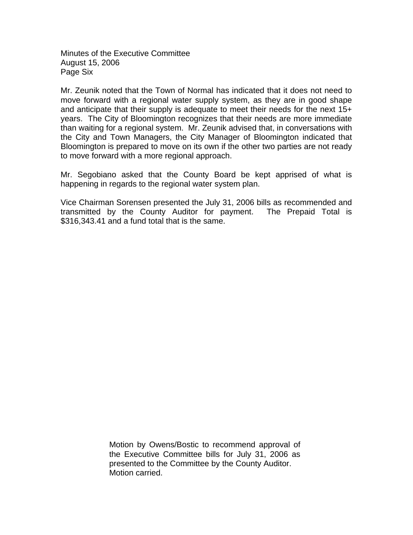Minutes of the Executive Committee August 15, 2006 Page Six

Mr. Zeunik noted that the Town of Normal has indicated that it does not need to move forward with a regional water supply system, as they are in good shape and anticipate that their supply is adequate to meet their needs for the next 15+ years. The City of Bloomington recognizes that their needs are more immediate than waiting for a regional system. Mr. Zeunik advised that, in conversations with the City and Town Managers, the City Manager of Bloomington indicated that Bloomington is prepared to move on its own if the other two parties are not ready to move forward with a more regional approach.

Mr. Segobiano asked that the County Board be kept apprised of what is happening in regards to the regional water system plan.

Vice Chairman Sorensen presented the July 31, 2006 bills as recommended and transmitted by the County Auditor for payment. The Prepaid Total is \$316,343.41 and a fund total that is the same.

> Motion by Owens/Bostic to recommend approval of the Executive Committee bills for July 31, 2006 as presented to the Committee by the County Auditor. Motion carried.